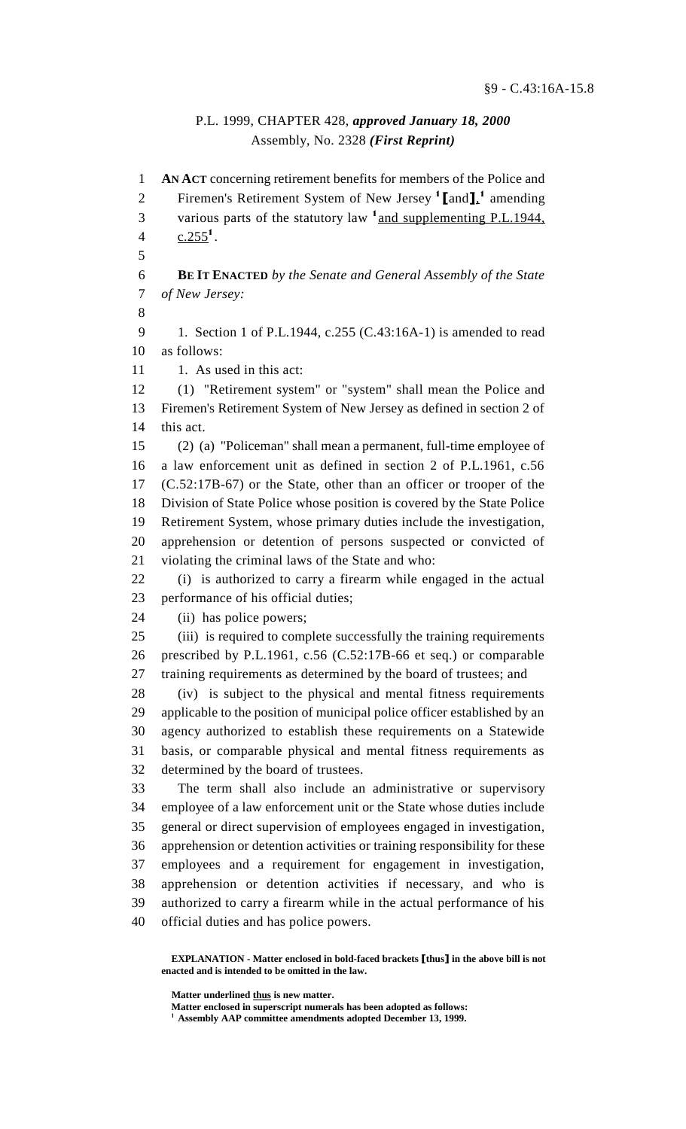## P.L. 1999, CHAPTER 428, *approved January 18, 2000* Assembly, No. 2328 *(First Reprint)*

 **AN ACT** concerning retirement benefits for members of the Police and 2 Firemen's Retirement System of New Jersey  $\left[1 \right]$  amending 3 various parts of the statutory law  $\frac{1}{2}$  and supplementing P.L.1944, 4  $c.255^1$ . **BE IT ENACTED** *by the Senate and General Assembly of the State of New Jersey:* 1. Section 1 of P.L.1944, c.255 (C.43:16A-1) is amended to read as follows: 11 1. As used in this act: (1) "Retirement system" or "system" shall mean the Police and Firemen's Retirement System of New Jersey as defined in section 2 of 14 this act. (2) (a) "Policeman" shall mean a permanent, full-time employee of a law enforcement unit as defined in section 2 of P.L.1961, c.56 (C.52:17B-67) or the State, other than an officer or trooper of the Division of State Police whose position is covered by the State Police Retirement System, whose primary duties include the investigation, apprehension or detention of persons suspected or convicted of violating the criminal laws of the State and who: (i) is authorized to carry a firearm while engaged in the actual performance of his official duties; (ii) has police powers; (iii) is required to complete successfully the training requirements prescribed by P.L.1961, c.56 (C.52:17B-66 et seq.) or comparable training requirements as determined by the board of trustees; and (iv) is subject to the physical and mental fitness requirements applicable to the position of municipal police officer established by an agency authorized to establish these requirements on a Statewide basis, or comparable physical and mental fitness requirements as determined by the board of trustees. The term shall also include an administrative or supervisory employee of a law enforcement unit or the State whose duties include general or direct supervision of employees engaged in investigation, apprehension or detention activities or training responsibility for these employees and a requirement for engagement in investigation, apprehension or detention activities if necessary, and who is authorized to carry a firearm while in the actual performance of his official duties and has police powers.

**EXPLANATION - Matter enclosed in bold-faced brackets [thus] in the above bill is not enacted and is intended to be omitted in the law.**

**Matter underlined thus is new matter.**

**Matter enclosed in superscript numerals has been adopted as follows:**

**Assembly AAP committee amendments adopted December 13, 1999.**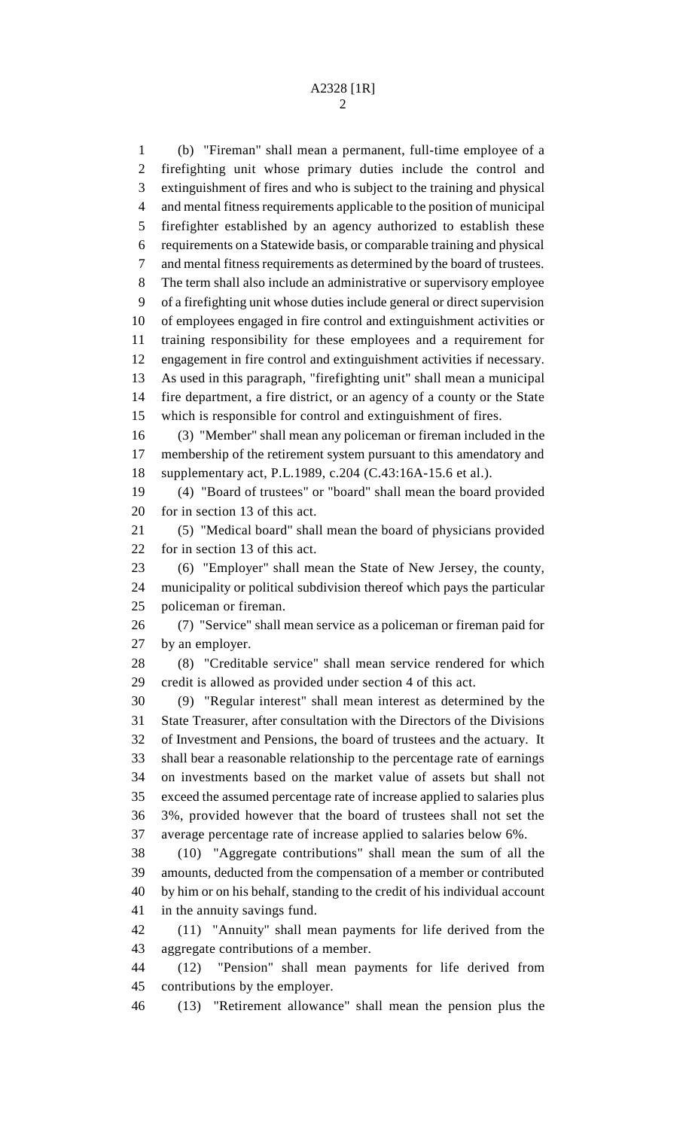(b) "Fireman" shall mean a permanent, full-time employee of a firefighting unit whose primary duties include the control and extinguishment of fires and who is subject to the training and physical and mental fitness requirements applicable to the position of municipal firefighter established by an agency authorized to establish these requirements on a Statewide basis, or comparable training and physical and mental fitness requirements as determined by the board of trustees. The term shall also include an administrative or supervisory employee of a firefighting unit whose duties include general or direct supervision of employees engaged in fire control and extinguishment activities or training responsibility for these employees and a requirement for engagement in fire control and extinguishment activities if necessary. As used in this paragraph, "firefighting unit" shall mean a municipal fire department, a fire district, or an agency of a county or the State which is responsible for control and extinguishment of fires. (3) "Member" shall mean any policeman or fireman included in the membership of the retirement system pursuant to this amendatory and supplementary act, P.L.1989, c.204 (C.43:16A-15.6 et al.). (4) "Board of trustees" or "board" shall mean the board provided for in section 13 of this act. (5) "Medical board" shall mean the board of physicians provided for in section 13 of this act. (6) "Employer" shall mean the State of New Jersey, the county, municipality or political subdivision thereof which pays the particular policeman or fireman. (7) "Service" shall mean service as a policeman or fireman paid for by an employer. (8) "Creditable service" shall mean service rendered for which credit is allowed as provided under section 4 of this act. (9) "Regular interest" shall mean interest as determined by the State Treasurer, after consultation with the Directors of the Divisions of Investment and Pensions, the board of trustees and the actuary. It shall bear a reasonable relationship to the percentage rate of earnings on investments based on the market value of assets but shall not exceed the assumed percentage rate of increase applied to salaries plus 3%, provided however that the board of trustees shall not set the average percentage rate of increase applied to salaries below 6%. (10) "Aggregate contributions" shall mean the sum of all the amounts, deducted from the compensation of a member or contributed by him or on his behalf, standing to the credit of his individual account in the annuity savings fund. (11) "Annuity" shall mean payments for life derived from the aggregate contributions of a member.

 (12) "Pension" shall mean payments for life derived from contributions by the employer.

(13) "Retirement allowance" shall mean the pension plus the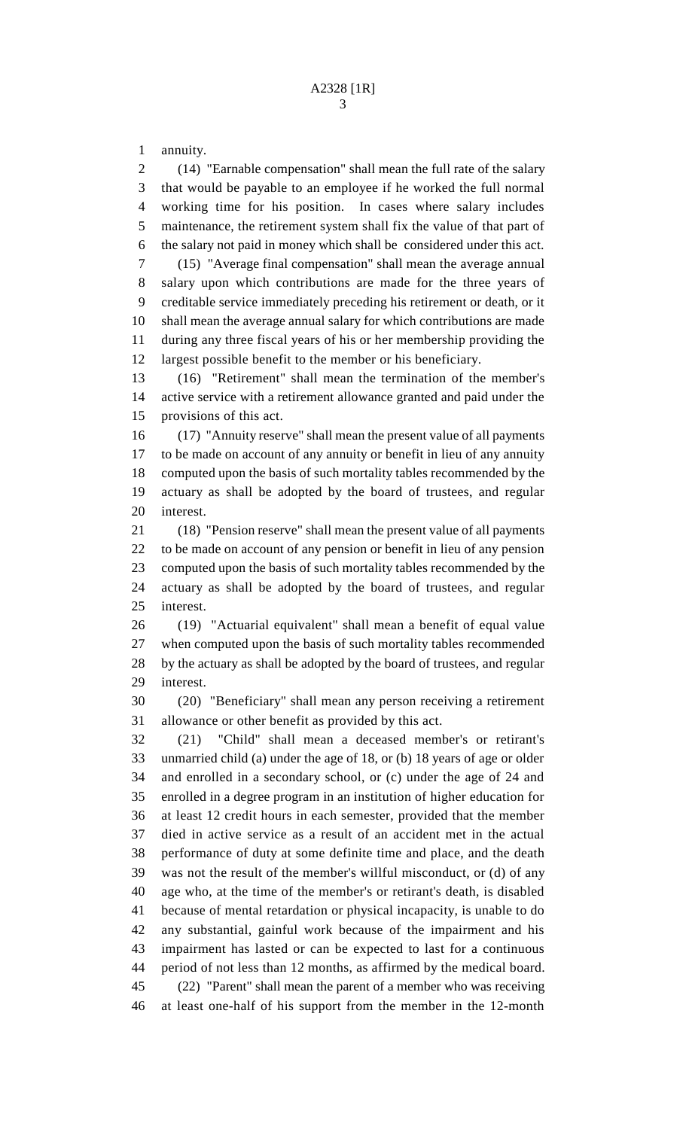annuity.

 (14) "Earnable compensation" shall mean the full rate of the salary that would be payable to an employee if he worked the full normal working time for his position. In cases where salary includes maintenance, the retirement system shall fix the value of that part of the salary not paid in money which shall be considered under this act. (15) "Average final compensation" shall mean the average annual salary upon which contributions are made for the three years of creditable service immediately preceding his retirement or death, or it shall mean the average annual salary for which contributions are made during any three fiscal years of his or her membership providing the largest possible benefit to the member or his beneficiary. (16) "Retirement" shall mean the termination of the member's

 active service with a retirement allowance granted and paid under the provisions of this act.

 (17) "Annuity reserve" shall mean the present value of all payments to be made on account of any annuity or benefit in lieu of any annuity computed upon the basis of such mortality tables recommended by the actuary as shall be adopted by the board of trustees, and regular interest.

 (18) "Pension reserve" shall mean the present value of all payments to be made on account of any pension or benefit in lieu of any pension computed upon the basis of such mortality tables recommended by the actuary as shall be adopted by the board of trustees, and regular interest.

 (19) "Actuarial equivalent" shall mean a benefit of equal value when computed upon the basis of such mortality tables recommended by the actuary as shall be adopted by the board of trustees, and regular interest.

 (20) "Beneficiary" shall mean any person receiving a retirement allowance or other benefit as provided by this act.

 (21) "Child" shall mean a deceased member's or retirant's unmarried child (a) under the age of 18, or (b) 18 years of age or older and enrolled in a secondary school, or (c) under the age of 24 and enrolled in a degree program in an institution of higher education for at least 12 credit hours in each semester, provided that the member died in active service as a result of an accident met in the actual performance of duty at some definite time and place, and the death was not the result of the member's willful misconduct, or (d) of any age who, at the time of the member's or retirant's death, is disabled because of mental retardation or physical incapacity, is unable to do any substantial, gainful work because of the impairment and his impairment has lasted or can be expected to last for a continuous period of not less than 12 months, as affirmed by the medical board. (22) "Parent" shall mean the parent of a member who was receiving at least one-half of his support from the member in the 12-month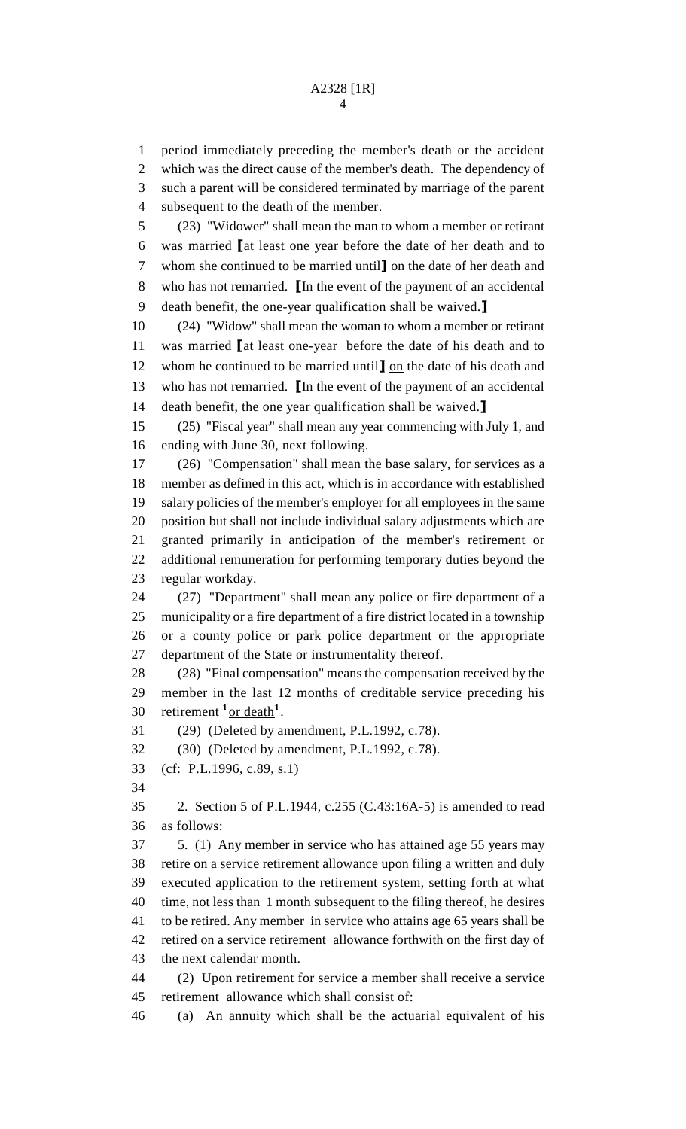period immediately preceding the member's death or the accident which was the direct cause of the member's death. The dependency of such a parent will be considered terminated by marriage of the parent subsequent to the death of the member. (23) "Widower" shall mean the man to whom a member or retirant was married  $\blacksquare$  at least one year before the date of her death and to 7 whom she continued to be married until  $\underline{\mathbf{O}}$  on the date of her death and 8 who has not remarried. In the event of the payment of an accidental 9 death benefit, the one-year qualification shall be waived. $\mathbf{\mathbf{I}}$  (24) "Widow" shall mean the woman to whom a member or retirant 11 was married at least one-year before the date of his death and to 12 whom he continued to be married until  $\log$  the date of his death and 13 who has not remarried. In the event of the payment of an accidental 14 death benefit, the one year qualification shall be waived. (25) "Fiscal year" shall mean any year commencing with July 1, and ending with June 30, next following. (26) "Compensation" shall mean the base salary, for services as a member as defined in this act, which is in accordance with established salary policies of the member's employer for all employees in the same position but shall not include individual salary adjustments which are granted primarily in anticipation of the member's retirement or additional remuneration for performing temporary duties beyond the regular workday. (27) "Department" shall mean any police or fire department of a municipality or a fire department of a fire district located in a township or a county police or park police department or the appropriate department of the State or instrumentality thereof. (28) "Final compensation" means the compensation received by the member in the last 12 months of creditable service preceding his 30 retirement  $\frac{1}{x}$  or death<sup>1</sup>. (29) (Deleted by amendment, P.L.1992, c.78). (30) (Deleted by amendment, P.L.1992, c.78). (cf: P.L.1996, c.89, s.1) 2. Section 5 of P.L.1944, c.255 (C.43:16A-5) is amended to read as follows: 5. (1) Any member in service who has attained age 55 years may retire on a service retirement allowance upon filing a written and duly executed application to the retirement system, setting forth at what time, not less than 1 month subsequent to the filing thereof, he desires to be retired. Any member in service who attains age 65 years shall be retired on a service retirement allowance forthwith on the first day of the next calendar month. (2) Upon retirement for service a member shall receive a service

retirement allowance which shall consist of:

(a) An annuity which shall be the actuarial equivalent of his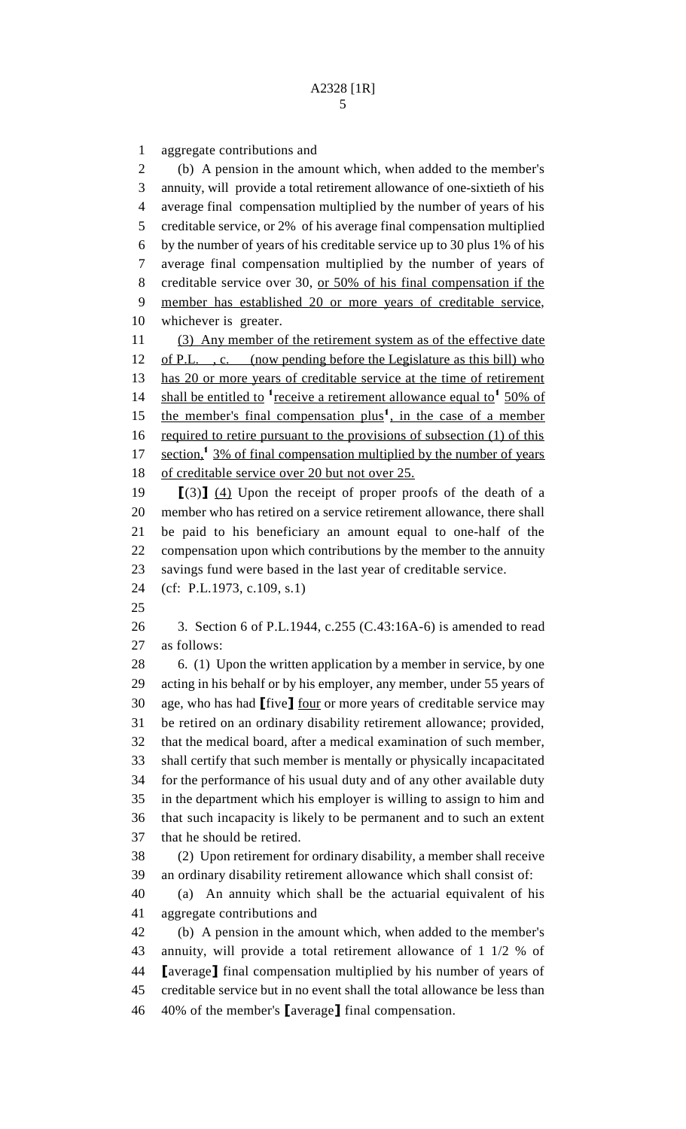aggregate contributions and (b) A pension in the amount which, when added to the member's annuity, will provide a total retirement allowance of one-sixtieth of his average final compensation multiplied by the number of years of his creditable service, or 2% of his average final compensation multiplied by the number of years of his creditable service up to 30 plus 1% of his average final compensation multiplied by the number of years of creditable service over 30, or 50% of his final compensation if the member has established 20 or more years of creditable service, whichever is greater. 11 (3) Any member of the retirement system as of the effective date 12 of P.L., c. (now pending before the Legislature as this bill) who 13 has 20 or more years of creditable service at the time of retirement 14 shall be entitled to  $\frac{1}{2}$  receive a retirement allowance equal to  $\frac{1}{2}$  50% of 15 the member's final compensation plus<sup>1</sup>, in the case of a member 16 required to retire pursuant to the provisions of subsection (1) of this 17 section,<sup>1</sup> 3% of final compensation multiplied by the number of years 18 of creditable service over 20 but not over 25.  $\left[ (3) \right]$  (4) Upon the receipt of proper proofs of the death of a member who has retired on a service retirement allowance, there shall be paid to his beneficiary an amount equal to one-half of the compensation upon which contributions by the member to the annuity savings fund were based in the last year of creditable service. (cf: P.L.1973, c.109, s.1) 3. Section 6 of P.L.1944, c.255 (C.43:16A-6) is amended to read as follows: 28 6. (1) Upon the written application by a member in service, by one acting in his behalf or by his employer, any member, under 55 years of 30 age, who has had  $\text{[five]}$  four or more years of creditable service may be retired on an ordinary disability retirement allowance; provided, that the medical board, after a medical examination of such member, shall certify that such member is mentally or physically incapacitated for the performance of his usual duty and of any other available duty in the department which his employer is willing to assign to him and that such incapacity is likely to be permanent and to such an extent that he should be retired. (2) Upon retirement for ordinary disability, a member shall receive an ordinary disability retirement allowance which shall consist of: (a) An annuity which shall be the actuarial equivalent of his aggregate contributions and (b) A pension in the amount which, when added to the member's

 annuity, will provide a total retirement allowance of 1 1/2 % of **I**average**]** final compensation multiplied by his number of years of creditable service but in no event shall the total allowance be less than  $\,$  40% of the member's [average] final compensation.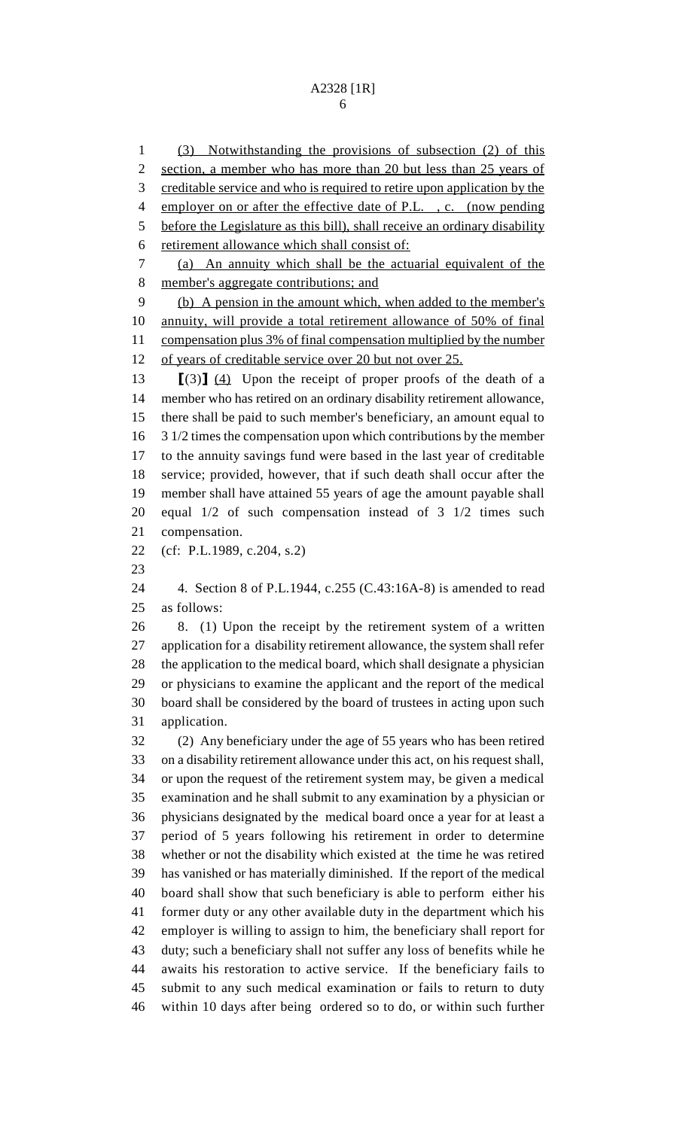(3) Notwithstanding the provisions of subsection (2) of this section, a member who has more than 20 but less than 25 years of creditable service and who is required to retire upon application by the 4 employer on or after the effective date of P.L., c. (now pending before the Legislature as this bill), shall receive an ordinary disability retirement allowance which shall consist of: (a) An annuity which shall be the actuarial equivalent of the member's aggregate contributions; and (b) A pension in the amount which, when added to the member's annuity, will provide a total retirement allowance of 50% of final 11 compensation plus 3% of final compensation multiplied by the number 12 of years of creditable service over 20 but not over 25.  $\left[ (3) \right]$   $\left( 4 \right)$  Upon the receipt of proper proofs of the death of a member who has retired on an ordinary disability retirement allowance, there shall be paid to such member's beneficiary, an amount equal to 3 1/2 times the compensation upon which contributions by the member to the annuity savings fund were based in the last year of creditable service; provided, however, that if such death shall occur after the member shall have attained 55 years of age the amount payable shall equal 1/2 of such compensation instead of 3 1/2 times such compensation. (cf: P.L.1989, c.204, s.2) 4. Section 8 of P.L.1944, c.255 (C.43:16A-8) is amended to read as follows: 8. (1) Upon the receipt by the retirement system of a written application for a disability retirement allowance, the system shall refer the application to the medical board, which shall designate a physician or physicians to examine the applicant and the report of the medical board shall be considered by the board of trustees in acting upon such application. (2) Any beneficiary under the age of 55 years who has been retired on a disability retirement allowance under this act, on his request shall, or upon the request of the retirement system may, be given a medical examination and he shall submit to any examination by a physician or physicians designated by the medical board once a year for at least a period of 5 years following his retirement in order to determine whether or not the disability which existed at the time he was retired has vanished or has materially diminished. If the report of the medical board shall show that such beneficiary is able to perform either his former duty or any other available duty in the department which his employer is willing to assign to him, the beneficiary shall report for duty; such a beneficiary shall not suffer any loss of benefits while he awaits his restoration to active service. If the beneficiary fails to submit to any such medical examination or fails to return to duty

within 10 days after being ordered so to do, or within such further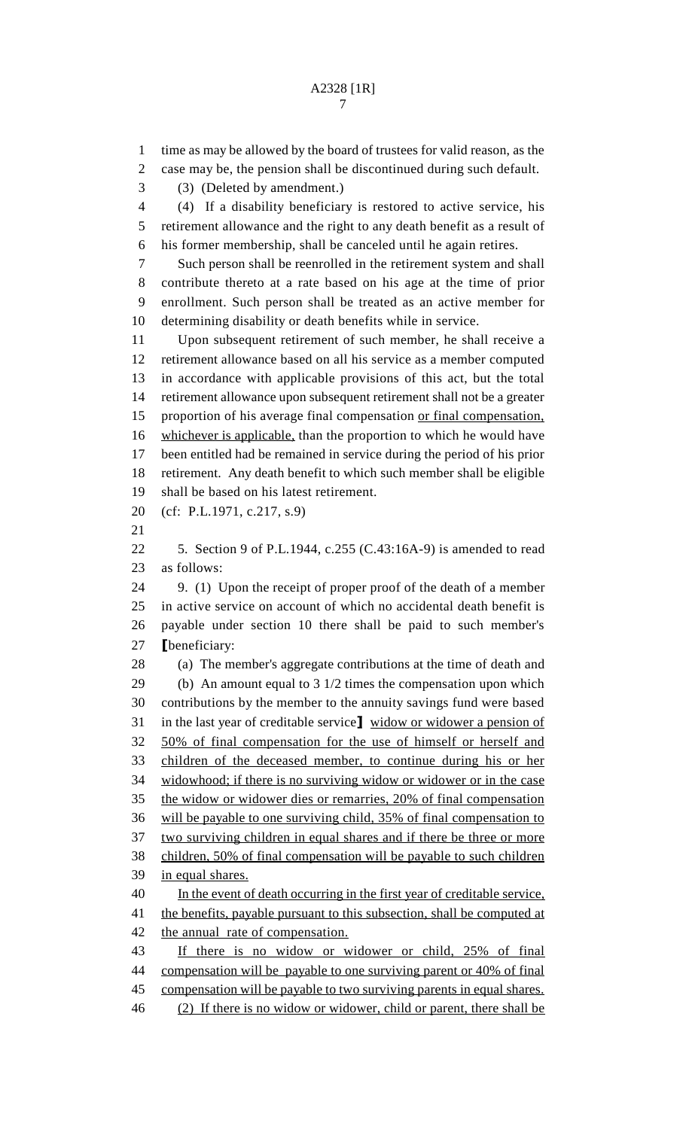time as may be allowed by the board of trustees for valid reason, as the case may be, the pension shall be discontinued during such default. (3) (Deleted by amendment.) (4) If a disability beneficiary is restored to active service, his retirement allowance and the right to any death benefit as a result of his former membership, shall be canceled until he again retires. Such person shall be reenrolled in the retirement system and shall contribute thereto at a rate based on his age at the time of prior enrollment. Such person shall be treated as an active member for determining disability or death benefits while in service. Upon subsequent retirement of such member, he shall receive a retirement allowance based on all his service as a member computed in accordance with applicable provisions of this act, but the total retirement allowance upon subsequent retirement shall not be a greater 15 proportion of his average final compensation or final compensation, 16 whichever is applicable, than the proportion to which he would have been entitled had be remained in service during the period of his prior retirement. Any death benefit to which such member shall be eligible shall be based on his latest retirement. (cf: P.L.1971, c.217, s.9) 5. Section 9 of P.L.1944, c.255 (C.43:16A-9) is amended to read as follows: 9. (1) Upon the receipt of proper proof of the death of a member in active service on account of which no accidental death benefit is payable under section 10 there shall be paid to such member's **[beneficiary:**  (a) The member's aggregate contributions at the time of death and (b) An amount equal to 3 1/2 times the compensation upon which contributions by the member to the annuity savings fund were based 31 in the last year of creditable service] widow or widower a pension of 50% of final compensation for the use of himself or herself and children of the deceased member, to continue during his or her widowhood; if there is no surviving widow or widower or in the case the widow or widower dies or remarries, 20% of final compensation will be payable to one surviving child, 35% of final compensation to two surviving children in equal shares and if there be three or more children, 50% of final compensation will be payable to such children in equal shares. In the event of death occurring in the first year of creditable service, 41 the benefits, payable pursuant to this subsection, shall be computed at the annual rate of compensation. If there is no widow or widower or child, 25% of final compensation will be payable to one surviving parent or 40% of final 45 compensation will be payable to two surviving parents in equal shares.

(2) If there is no widow or widower, child or parent, there shall be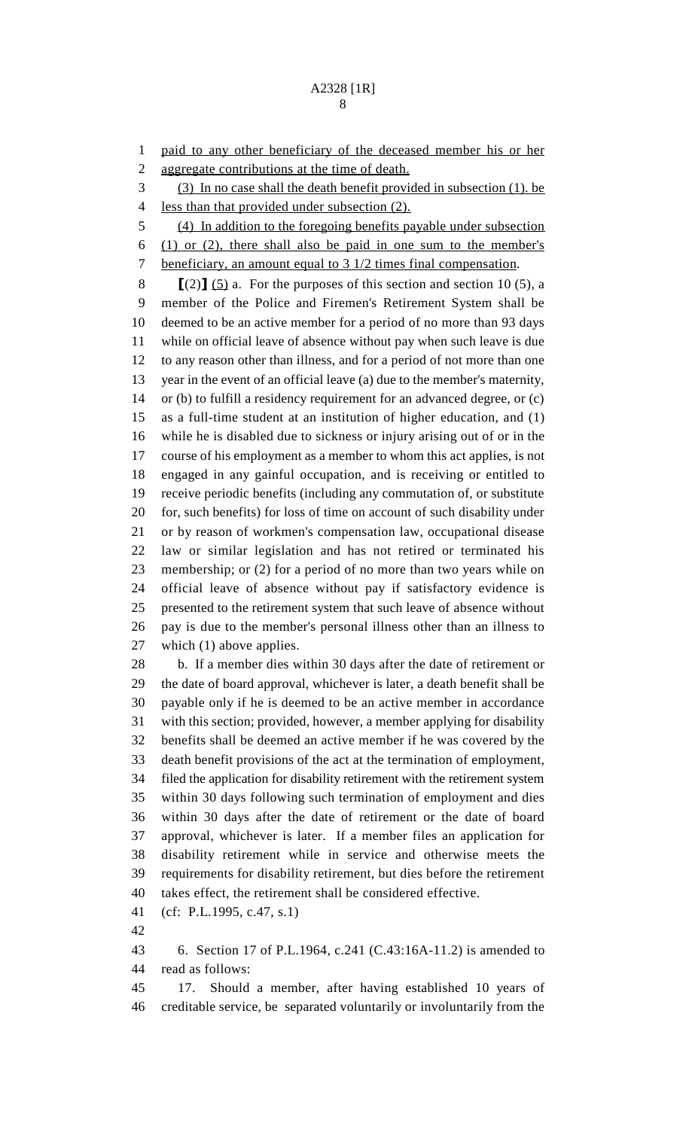## A2328 [1R]

 paid to any other beneficiary of the deceased member his or her aggregate contributions at the time of death.

(3) In no case shall the death benefit provided in subsection (1). be

less than that provided under subsection (2).

(4) In addition to the foregoing benefits payable under subsection

 (1) or (2), there shall also be paid in one sum to the member's 7 beneficiary, an amount equal to 3 1/2 times final compensation.

 >(2)@ (5) a. For the purposes of this section and section 10 (5), a member of the Police and Firemen's Retirement System shall be deemed to be an active member for a period of no more than 93 days while on official leave of absence without pay when such leave is due to any reason other than illness, and for a period of not more than one year in the event of an official leave (a) due to the member's maternity, or (b) to fulfill a residency requirement for an advanced degree, or (c) as a full-time student at an institution of higher education, and (1) while he is disabled due to sickness or injury arising out of or in the course of his employment as a member to whom this act applies, is not engaged in any gainful occupation, and is receiving or entitled to receive periodic benefits (including any commutation of, or substitute for, such benefits) for loss of time on account of such disability under or by reason of workmen's compensation law, occupational disease law or similar legislation and has not retired or terminated his membership; or (2) for a period of no more than two years while on official leave of absence without pay if satisfactory evidence is presented to the retirement system that such leave of absence without pay is due to the member's personal illness other than an illness to which (1) above applies.

 b. If a member dies within 30 days after the date of retirement or the date of board approval, whichever is later, a death benefit shall be payable only if he is deemed to be an active member in accordance with this section; provided, however, a member applying for disability benefits shall be deemed an active member if he was covered by the death benefit provisions of the act at the termination of employment, filed the application for disability retirement with the retirement system within 30 days following such termination of employment and dies within 30 days after the date of retirement or the date of board approval, whichever is later. If a member files an application for disability retirement while in service and otherwise meets the requirements for disability retirement, but dies before the retirement takes effect, the retirement shall be considered effective.

(cf: P.L.1995, c.47, s.1)

 6. Section 17 of P.L.1964, c.241 (C.43:16A-11.2) is amended to read as follows:

 17. Should a member, after having established 10 years of creditable service, be separated voluntarily or involuntarily from the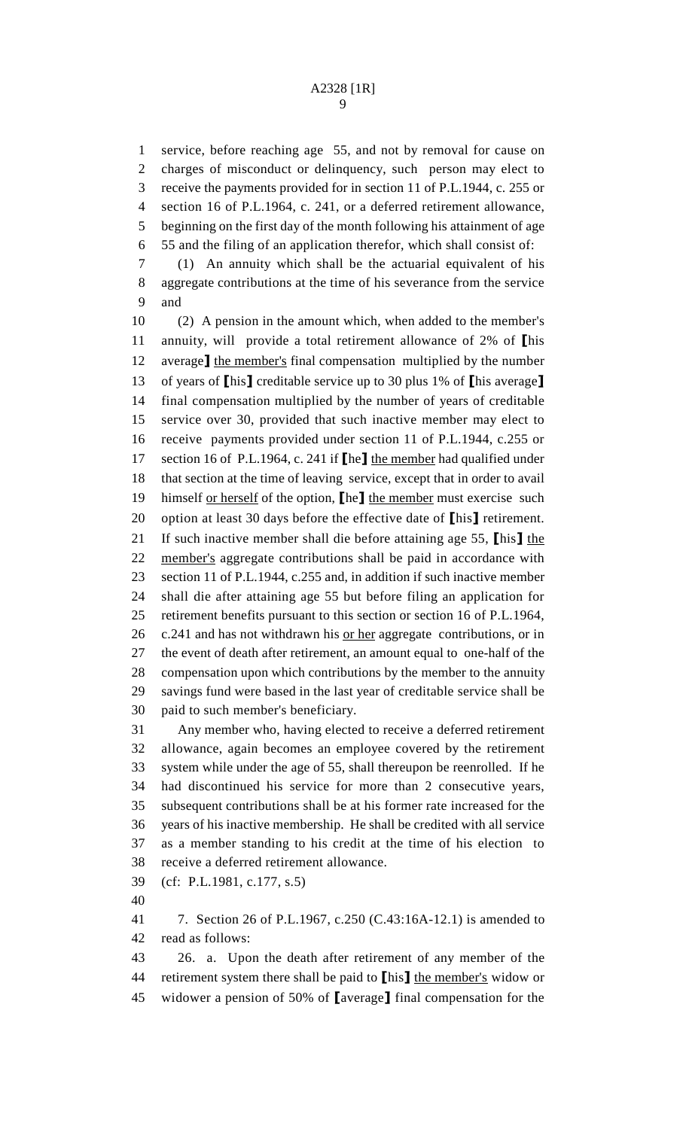service, before reaching age 55, and not by removal for cause on charges of misconduct or delinquency, such person may elect to receive the payments provided for in section 11 of P.L.1944, c. 255 or section 16 of P.L.1964, c. 241, or a deferred retirement allowance, beginning on the first day of the month following his attainment of age 55 and the filing of an application therefor, which shall consist of:

 (1) An annuity which shall be the actuarial equivalent of his aggregate contributions at the time of his severance from the service and

 (2) A pension in the amount which, when added to the member's 11 annuity, will provide a total retirement allowance of 2% of  $\mathbb{I}$ his 12 average] the member's final compensation multiplied by the number 13 of years of  $\lceil \text{his} \rceil$  creditable service up to 30 plus 1% of  $\lceil \text{his average} \rceil$  final compensation multiplied by the number of years of creditable service over 30, provided that such inactive member may elect to receive payments provided under section 11 of P.L.1944, c.255 or 17 section 16 of P.L.1964, c. 241 if  $\lbrack \cdot \rbrack$  the member had qualified under that section at the time of leaving service, except that in order to avail 19 himself or herself of the option,  $\llbracket$  he member must exercise such 20 option at least 30 days before the effective date of  $\ln s$  retirement. 21 If such inactive member shall die before attaining age 55,  $\ln s$  the member's aggregate contributions shall be paid in accordance with section 11 of P.L.1944, c.255 and, in addition if such inactive member shall die after attaining age 55 but before filing an application for retirement benefits pursuant to this section or section 16 of P.L.1964, c.241 and has not withdrawn his or her aggregate contributions, or in the event of death after retirement, an amount equal to one-half of the compensation upon which contributions by the member to the annuity savings fund were based in the last year of creditable service shall be paid to such member's beneficiary.

 Any member who, having elected to receive a deferred retirement allowance, again becomes an employee covered by the retirement system while under the age of 55, shall thereupon be reenrolled. If he had discontinued his service for more than 2 consecutive years, subsequent contributions shall be at his former rate increased for the years of his inactive membership. He shall be credited with all service as a member standing to his credit at the time of his election to receive a deferred retirement allowance.

(cf: P.L.1981, c.177, s.5)

 7. Section 26 of P.L.1967, c.250 (C.43:16A-12.1) is amended to read as follows:

 26. a. Upon the death after retirement of any member of the 44 retirement system there shall be paid to  $\ln s$  the member's widow or 45 widower a pension of 50% of  $[average]$  final compensation for the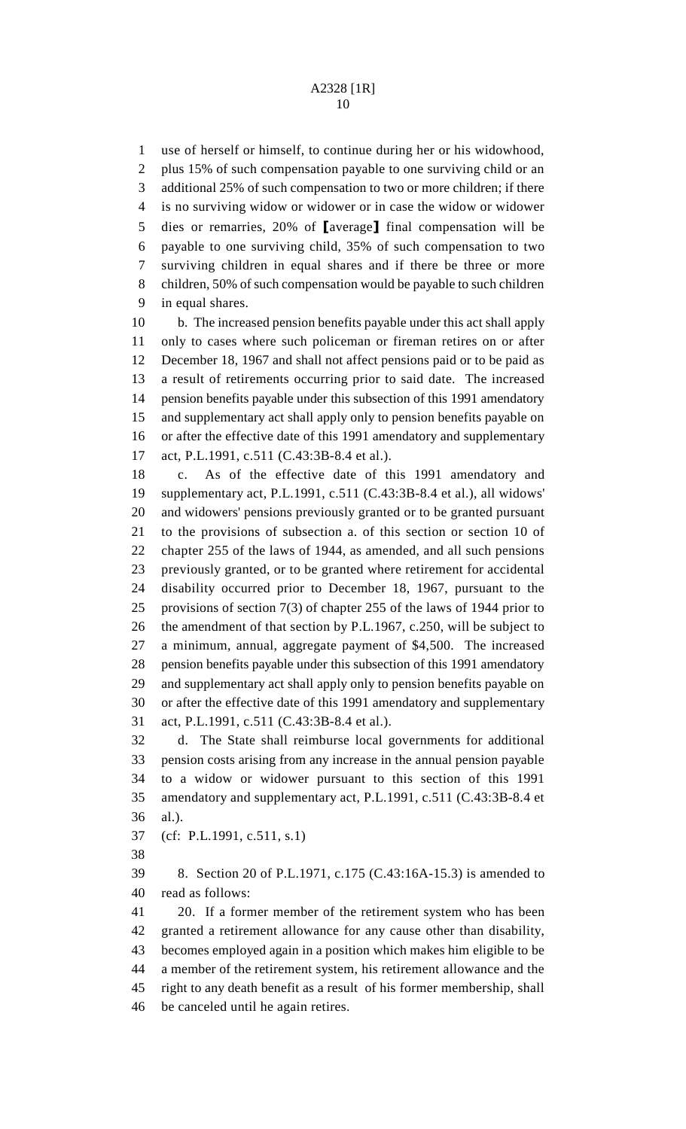use of herself or himself, to continue during her or his widowhood, plus 15% of such compensation payable to one surviving child or an additional 25% of such compensation to two or more children; if there is no surviving widow or widower or in case the widow or widower 5 dies or remarries,  $20\%$  of [average] final compensation will be payable to one surviving child, 35% of such compensation to two surviving children in equal shares and if there be three or more children, 50% of such compensation would be payable to such children in equal shares.

 b. The increased pension benefits payable under this act shall apply only to cases where such policeman or fireman retires on or after December 18, 1967 and shall not affect pensions paid or to be paid as a result of retirements occurring prior to said date. The increased pension benefits payable under this subsection of this 1991 amendatory and supplementary act shall apply only to pension benefits payable on or after the effective date of this 1991 amendatory and supplementary act, P.L.1991, c.511 (C.43:3B-8.4 et al.).

 c. As of the effective date of this 1991 amendatory and supplementary act, P.L.1991, c.511 (C.43:3B-8.4 et al.), all widows' and widowers' pensions previously granted or to be granted pursuant to the provisions of subsection a. of this section or section 10 of chapter 255 of the laws of 1944, as amended, and all such pensions previously granted, or to be granted where retirement for accidental disability occurred prior to December 18, 1967, pursuant to the provisions of section 7(3) of chapter 255 of the laws of 1944 prior to the amendment of that section by P.L.1967, c.250, will be subject to a minimum, annual, aggregate payment of \$4,500. The increased pension benefits payable under this subsection of this 1991 amendatory and supplementary act shall apply only to pension benefits payable on or after the effective date of this 1991 amendatory and supplementary act, P.L.1991, c.511 (C.43:3B-8.4 et al.).

 d. The State shall reimburse local governments for additional pension costs arising from any increase in the annual pension payable to a widow or widower pursuant to this section of this 1991 amendatory and supplementary act, P.L.1991, c.511 (C.43:3B-8.4 et al.).

(cf: P.L.1991, c.511, s.1)

 8. Section 20 of P.L.1971, c.175 (C.43:16A-15.3) is amended to read as follows:

 20. If a former member of the retirement system who has been granted a retirement allowance for any cause other than disability, becomes employed again in a position which makes him eligible to be a member of the retirement system, his retirement allowance and the right to any death benefit as a result of his former membership, shall be canceled until he again retires.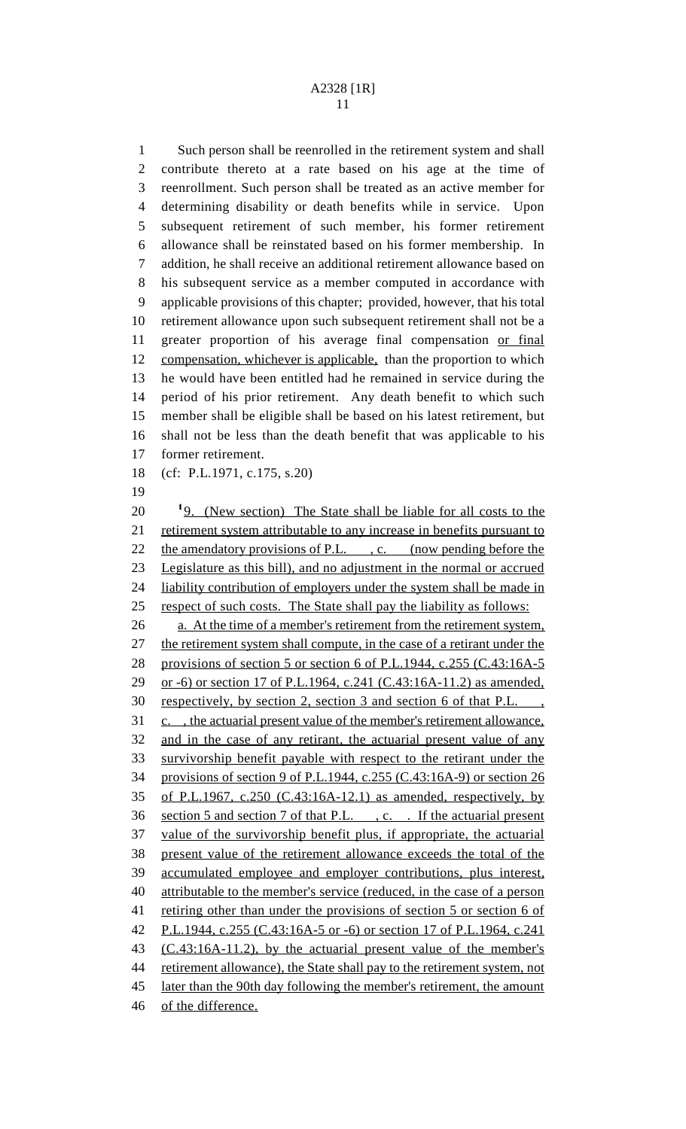Such person shall be reenrolled in the retirement system and shall contribute thereto at a rate based on his age at the time of reenrollment. Such person shall be treated as an active member for determining disability or death benefits while in service. Upon subsequent retirement of such member, his former retirement allowance shall be reinstated based on his former membership. In addition, he shall receive an additional retirement allowance based on his subsequent service as a member computed in accordance with applicable provisions of this chapter; provided, however, that his total retirement allowance upon such subsequent retirement shall not be a 11 greater proportion of his average final compensation or final 12 compensation, whichever is applicable, than the proportion to which he would have been entitled had he remained in service during the period of his prior retirement. Any death benefit to which such member shall be eligible shall be based on his latest retirement, but shall not be less than the death benefit that was applicable to his former retirement. (cf: P.L.1971, c.175, s.20)  $20 \frac{19}{20}$ . (New section) The State shall be liable for all costs to the 21 retirement system attributable to any increase in benefits pursuant to 22 the amendatory provisions of P.L., c. (now pending before the Legislature as this bill), and no adjustment in the normal or accrued 24 liability contribution of employers under the system shall be made in respect of such costs. The State shall pay the liability as follows: a. At the time of a member's retirement from the retirement system, 27 the retirement system shall compute, in the case of a retirant under the provisions of section 5 or section 6 of P.L.1944, c.255 (C.43:16A-5 or -6) or section 17 of P.L.1964, c.241 (C.43:16A-11.2) as amended, respectively, by section 2, section 3 and section 6 of that P.L. , c. , the actuarial present value of the member's retirement allowance, and in the case of any retirant, the actuarial present value of any survivorship benefit payable with respect to the retirant under the provisions of section 9 of P.L.1944, c.255 (C.43:16A-9) or section 26 of P.L.1967, c.250 (C.43:16A-12.1) as amended, respectively, by section 5 and section 7 of that P.L. , c. . If the actuarial present value of the survivorship benefit plus, if appropriate, the actuarial present value of the retirement allowance exceeds the total of the accumulated employee and employer contributions, plus interest, attributable to the member's service (reduced, in the case of a person retiring other than under the provisions of section 5 or section 6 of P.L.1944, c.255 (C.43:16A-5 or -6) or section 17 of P.L.1964, c.241 (C.43:16A-11.2), by the actuarial present value of the member's

retirement allowance), the State shall pay to the retirement system, not

of the difference.

later than the 90th day following the member's retirement, the amount